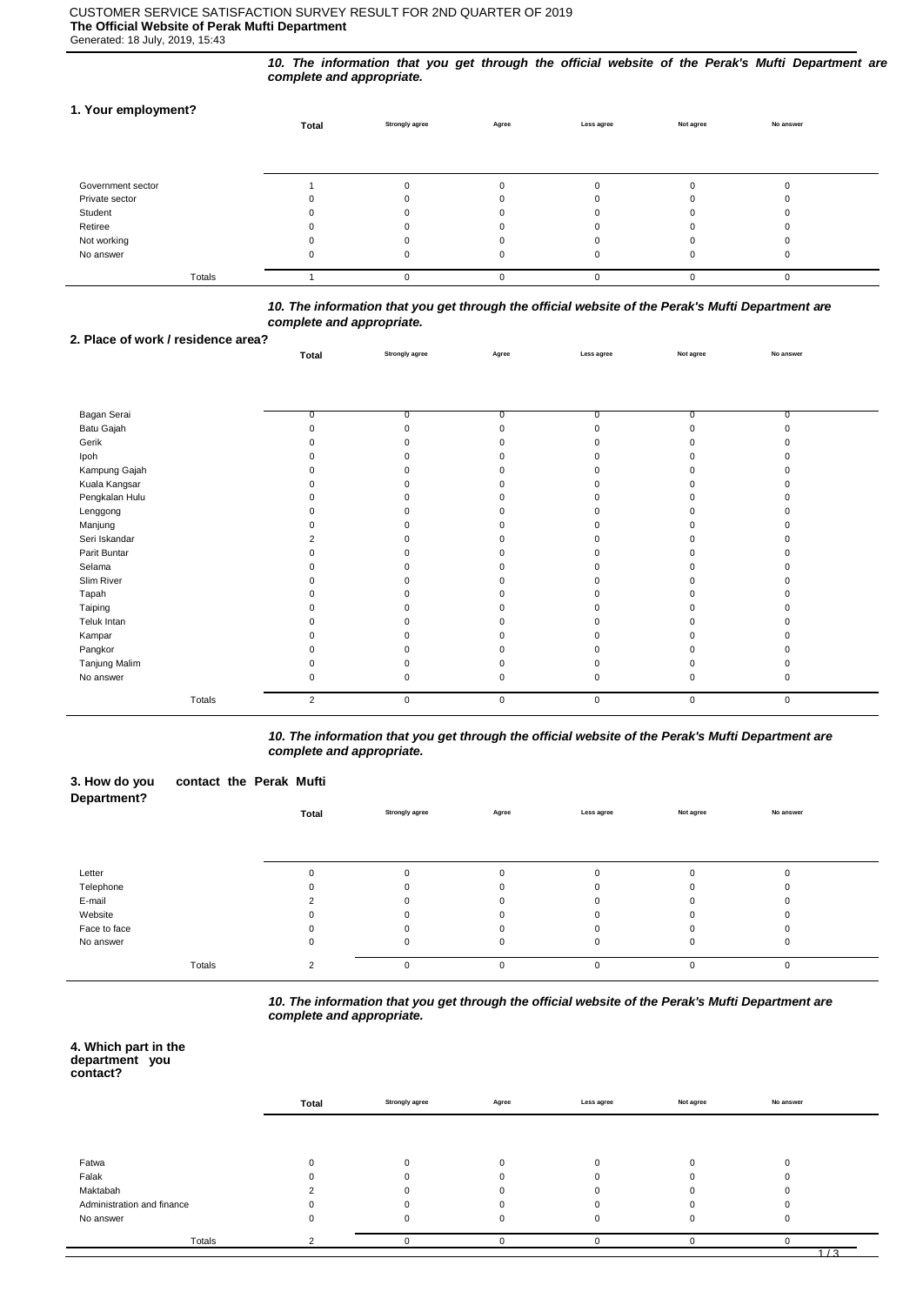## CUSTOMER SERVICE SATISFACTION SURVEY RESULT FOR 2ND QUARTER OF 2019 **The Official Website of Perak Mufti Department**

Generated: 18 July, 2019, 15:43

*10. The information that you get through the official website of the Perak's Mufti Department are complete and appropriate.*

## **1. Your employment?**

|                   | Total | <b>Strongly agree</b> | Agree | Less agree | Not agree | No answer |  |
|-------------------|-------|-----------------------|-------|------------|-----------|-----------|--|
|                   |       |                       |       |            |           |           |  |
|                   |       |                       |       |            |           |           |  |
| Government sector |       |                       |       |            |           |           |  |
| Private sector    |       |                       |       |            |           |           |  |
| Student           |       |                       |       |            |           |           |  |
| Retiree           |       |                       |       | $\Omega$   |           |           |  |
| Not working       |       |                       |       |            |           |           |  |
| No answer         |       | 0                     |       | 0          |           | υ         |  |
| Totals            |       |                       |       | 0          |           |           |  |

*10. The information that you get through the official website of the Perak's Mufti Department are complete and appropriate.*

**Total Strongly agree Agree Less agree Not agree No answer**

### **2. Place of work / residence area?**

| Bagan Serai    | $\overline{0}$ | n           |             |             | $\Omega$    |             |  |
|----------------|----------------|-------------|-------------|-------------|-------------|-------------|--|
| Batu Gajah     |                |             |             |             |             |             |  |
| Gerik          |                |             |             |             |             |             |  |
| Ipoh           |                |             |             |             |             |             |  |
| Kampung Gajah  |                |             |             |             |             |             |  |
| Kuala Kangsar  |                |             |             |             |             |             |  |
| Pengkalan Hulu |                |             |             |             |             |             |  |
| Lenggong       |                |             |             |             |             |             |  |
| Manjung        |                |             |             |             |             |             |  |
| Seri Iskandar  |                |             |             |             |             |             |  |
| Parit Buntar   |                |             |             |             |             |             |  |
| Selama         |                |             |             |             |             |             |  |
| Slim River     |                |             |             |             |             |             |  |
| Tapah          |                |             |             |             |             |             |  |
| Taiping        |                |             |             |             |             |             |  |
| Teluk Intan    |                |             |             |             |             |             |  |
| Kampar         |                |             |             |             |             |             |  |
| Pangkor        |                |             |             |             |             |             |  |
| Tanjung Malim  |                |             |             |             |             |             |  |
| No answer      |                |             |             |             | ŋ           |             |  |
| Totals         | $\overline{2}$ | $\mathbf 0$ | $\mathsf 0$ | $\mathbf 0$ | $\mathbf 0$ | $\mathbf 0$ |  |

*10. The information that you get through the official website of the Perak's Mufti Department are complete and appropriate.*

| 3. How do you<br>Department? | contact the Perak Mufti |       |                       |       |             |           |           |  |
|------------------------------|-------------------------|-------|-----------------------|-------|-------------|-----------|-----------|--|
|                              |                         | Total | <b>Strongly agree</b> | Agree | Less agree  | Not agree | No answer |  |
|                              |                         |       |                       |       |             |           |           |  |
|                              |                         |       |                       |       |             |           |           |  |
| Letter                       |                         |       | $\Omega$              | 0     | $\mathbf 0$ | $\Omega$  |           |  |
| Telephone                    |                         |       |                       | n     | $\Omega$    | n         |           |  |
| E-mail                       |                         |       | $\mathbf{U}$          | 0     | $\Omega$    | 0         |           |  |
| Website                      |                         |       |                       |       | $\Omega$    | n         |           |  |
| Face to face                 |                         |       | ŋ                     | 0     | $\mathbf 0$ | n         |           |  |
| No answer                    |                         | 0     | $\Omega$              | 0     | $\mathbf 0$ | 0         | $\Omega$  |  |
|                              | Totals                  | 2     | 0                     | 0     | $\mathbf 0$ | 0         | 0         |  |

*10. The information that you get through the official website of the Perak's Mufti Department are complete and appropriate.*

#### **4. Which part in the department you contact?**

|                            | Total | <b>Strongly agree</b> | Agree | Less agree | Not agree | No answer |  |
|----------------------------|-------|-----------------------|-------|------------|-----------|-----------|--|
|                            |       |                       |       |            |           |           |  |
| Fatwa                      |       |                       |       | $\Omega$   |           |           |  |
| Falak                      |       |                       |       |            |           |           |  |
| Maktabah                   |       |                       |       |            |           |           |  |
| Administration and finance |       |                       |       |            |           |           |  |
| No answer                  |       | $\Omega$              |       | $\Omega$   |           |           |  |
| Totals                     |       |                       |       |            |           |           |  |
|                            |       |                       |       |            |           | 1/3       |  |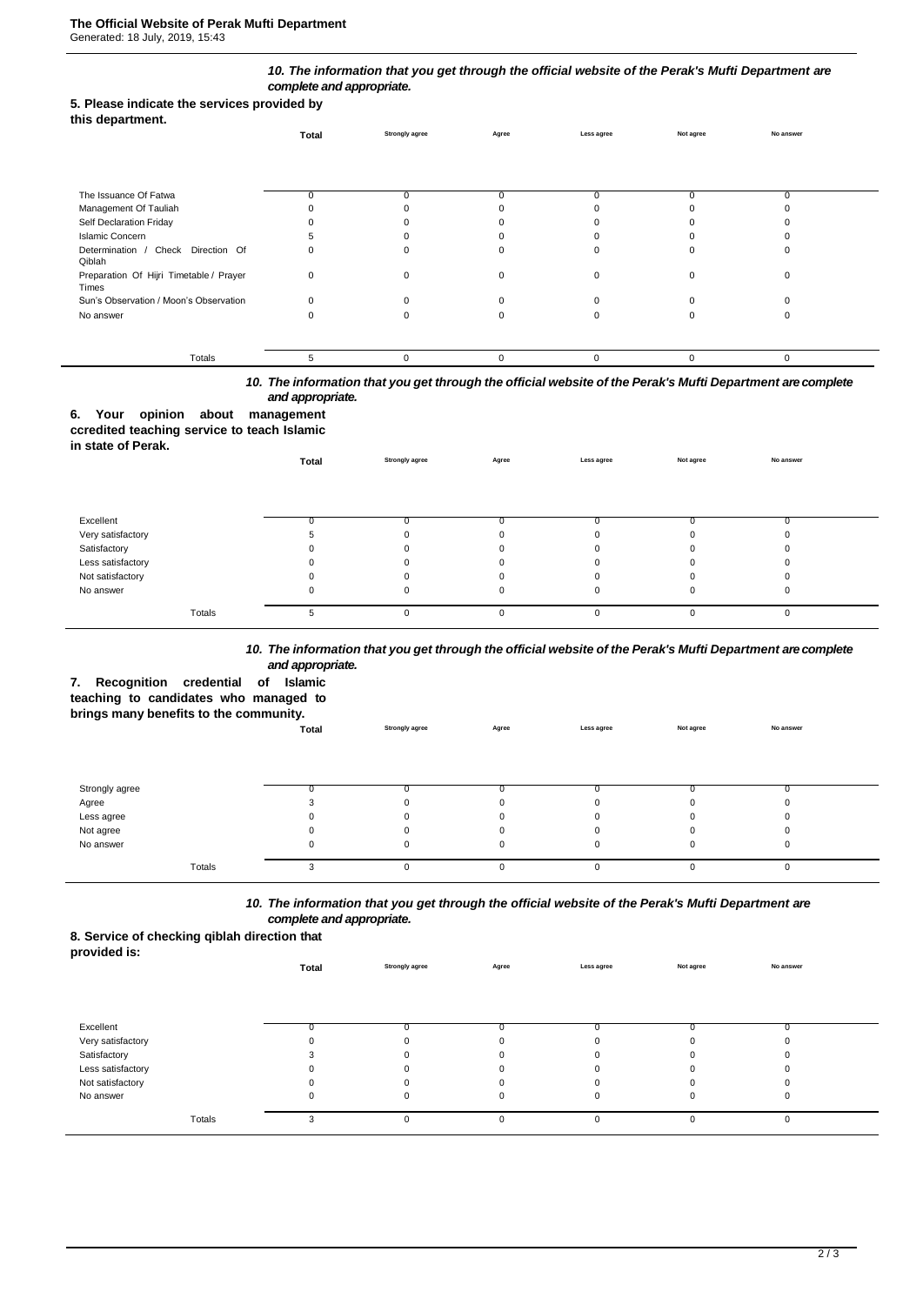## *10. The information that you get through the official website of the Perak's Mufti Department are complete and appropriate.*

## **5. Please indicate the services provided by**

| this department. |  |
|------------------|--|
|------------------|--|

|                                                  | Total | <b>Strongly agree</b> | Agree | Less agree | Not agree | No answer |  |
|--------------------------------------------------|-------|-----------------------|-------|------------|-----------|-----------|--|
|                                                  |       |                       |       |            |           |           |  |
| The Issuance Of Fatwa                            | 0     |                       |       |            |           | 0         |  |
| Management Of Tauliah                            |       |                       |       |            |           |           |  |
| Self Declaration Friday                          |       |                       |       |            |           |           |  |
| <b>Islamic Concern</b>                           |       |                       |       |            |           |           |  |
| Determination / Check Direction Of<br>Qiblah     | 0     |                       |       |            |           |           |  |
| Preparation Of Hijri Timetable / Prayer<br>Times | 0     |                       |       |            |           |           |  |
| Sun's Observation / Moon's Observation           | ŋ     |                       |       |            |           |           |  |
| No answer                                        |       |                       |       |            |           |           |  |
|                                                  |       |                       |       |            |           |           |  |
| Totals                                           | 5     | $\Omega$              |       | $\Omega$   | $\Omega$  | $\Omega$  |  |

## *10. The information that you get through the official website of the Perak's Mufti Department are complete and appropriate.*

## **6. Your opinion about management**

#### **ccredited teaching service to teach Islamic in state of Perak.**

| in state of Perak. | Total | <b>Strongly agree</b> | Agree    | Less agree | Not agree | No answer |  |
|--------------------|-------|-----------------------|----------|------------|-----------|-----------|--|
|                    |       |                       |          |            |           |           |  |
| Excellent          |       |                       |          |            |           |           |  |
| Very satisfactory  |       |                       | 0        |            |           |           |  |
| Satisfactory       |       |                       | $\Omega$ |            |           |           |  |
| Less satisfactory  |       |                       | $\Omega$ | O          |           |           |  |
| Not satisfactory   |       |                       | $\Omega$ | O          |           |           |  |
| No answer          |       | 0                     | 0        | 0          |           |           |  |
| Totals             | b.    | U                     | $\Omega$ | 0          |           | O         |  |

### *10. The information that you get through the official website of the Perak's Mufti Department are complete and appropriate.*

**Total Strongly agree Agree Less agree Not agree No answer**

# **7. Recognition credential of Islamic**

**teaching to candidates who managed to** 

## **brings many benefits to the community.**

| Strongly agree |   |   |   |  |  |
|----------------|---|---|---|--|--|
| Agree          |   |   |   |  |  |
| Less agree     | 0 |   |   |  |  |
| Not agree      | 0 |   |   |  |  |
| No answer      | 0 |   |   |  |  |
|                |   |   |   |  |  |
| Totals         |   | U | 0 |  |  |

## *10. The information that you get through the official website of the Perak's Mufti Department are complete and appropriate.*

## **8. Service of checking qiblah direction that**

| __<br>provided is: |       |                       |          |             |           |           |  |
|--------------------|-------|-----------------------|----------|-------------|-----------|-----------|--|
|                    | Total | <b>Strongly agree</b> | Agree    | Less agree  | Not agree | No answer |  |
|                    |       |                       |          |             |           |           |  |
|                    |       |                       |          |             |           |           |  |
|                    |       |                       |          |             |           |           |  |
| Excellent          |       |                       |          |             |           |           |  |
| Very satisfactory  |       |                       |          |             |           |           |  |
| Satisfactory       |       |                       |          |             |           |           |  |
| Less satisfactory  |       |                       |          |             |           |           |  |
| Not satisfactory   |       |                       |          |             |           |           |  |
| No answer          | U     |                       |          | $\mathbf 0$ | $\Omega$  | 0         |  |
|                    |       |                       |          |             |           |           |  |
| Totals             |       |                       | $\Omega$ | $\Omega$    | 0         | 0         |  |